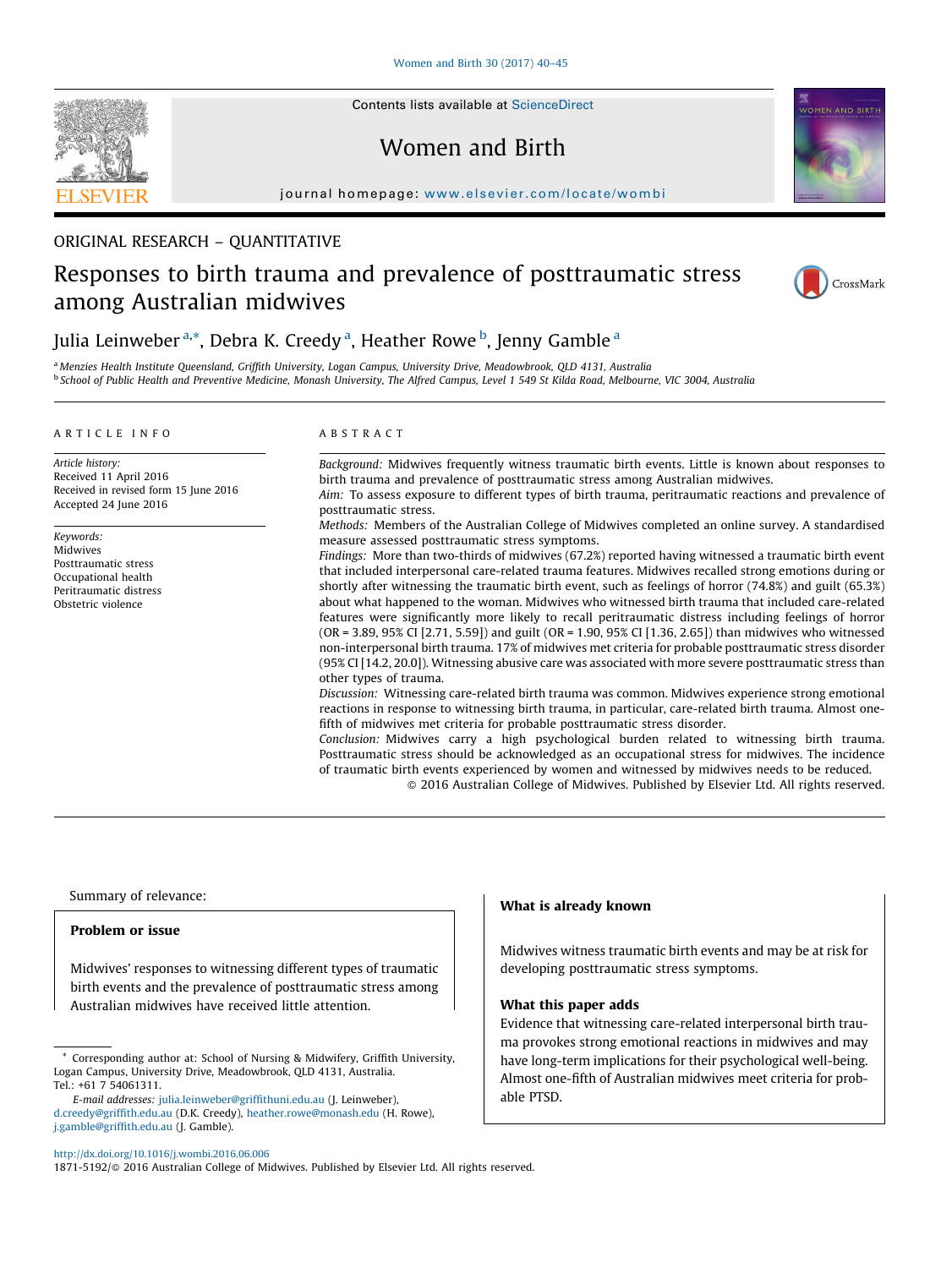Contents lists available at [ScienceDirect](http://www.sciencedirect.com/science/journal/18715192)

# Women and Birth

journal homepage: <www.elsevier.com/locate/wombi>

# ORIGINAL RESEARCH – QUANTITATIVE

# Responses to birth trauma and prevalence of posttraumatic stress among Australian midwives



**IEN AND BIRT** 

# Julia Leinweber<sup>a,\*</sup>, Debra K. Creedy<sup>a</sup>, Heather Rowe <sup>b</sup>, Jenny Gamble <sup>a</sup>

a Menzies Health Institute Queensland, Griffith University, Logan Campus, University Drive, Meadowbrook, QLD 4131, Australia **b School of Public Health and Preventive Medicine, Monash University, The Alfred Campus, Level 1 549 St Kilda Road, Melbourne, VIC 3004, Australia** 

#### ARTICLE INFO

Article history: Received 11 April 2016 Received in revised form 15 June 2016 Accepted 24 June 2016

Keywords: Midwives Posttraumatic stress Occupational health Peritraumatic distress Obstetric violence

# ABSTRACT

Background: Midwives frequently witness traumatic birth events. Little is known about responses to birth trauma and prevalence of posttraumatic stress among Australian midwives.

Aim: To assess exposure to different types of birth trauma, peritraumatic reactions and prevalence of posttraumatic stress.

Methods: Members of the Australian College of Midwives completed an online survey. A standardised measure assessed posttraumatic stress symptoms.

Findings: More than two-thirds of midwives (67.2%) reported having witnessed a traumatic birth event that included interpersonal care-related trauma features. Midwives recalled strong emotions during or shortly after witnessing the traumatic birth event, such as feelings of horror (74.8%) and guilt (65.3%) about what happened to the woman. Midwives who witnessed birth trauma that included care-related features were significantly more likely to recall peritraumatic distress including feelings of horror (OR = 3.89, 95% CI [2.71, 5.59]) and guilt (OR = 1.90, 95% CI [1.36, 2.65]) than midwives who witnessed non-interpersonal birth trauma. 17% of midwives met criteria for probable posttraumatic stress disorder (95% CI [14.2, 20.0]). Witnessing abusive care was associated with more severe posttraumatic stress than other types of trauma.

Discussion: Witnessing care-related birth trauma was common. Midwives experience strong emotional reactions in response to witnessing birth trauma, in particular, care-related birth trauma. Almost onefifth of midwives met criteria for probable posttraumatic stress disorder.

Conclusion: Midwives carry a high psychological burden related to witnessing birth trauma. Posttraumatic stress should be acknowledged as an occupational stress for midwives. The incidence of traumatic birth events experienced by women and witnessed by midwives needs to be reduced.

- 2016 Australian College of Midwives. Published by Elsevier Ltd. All rights reserved.

#### Summary of relevance:

### Problem or issue

Midwives' responses to witnessing different types of traumatic birth events and the prevalence of posttraumatic stress among Australian midwives have received little attention.

Corresponding author at: School of Nursing & Midwifery, Griffith University, Logan Campus, University Drive, Meadowbrook, QLD 4131, Australia. Tel.: +61 7 54061311.

E-mail addresses: [julia.leinweber@griffithuni.edu.au](mailto:julia.leinweber@griffithuni.edu.au) (J. Leinweber), [d.creedy@griffith.edu.au](mailto:d.creedy@griffith.edu.au) (D.K. Creedy), [heather.rowe@monash.edu](mailto:heather.rowe@monash.edu) (H. Rowe), [j.gamble@griffith.edu.au](mailto:j.gamble@griffith.edu.au) (J. Gamble).

# What is already known

Midwives witness traumatic birth events and may be at risk for developing posttraumatic stress symptoms.

# What this paper adds

Evidence that witnessing care-related interpersonal birth trauma provokes strong emotional reactions in midwives and may have long-term implications for their psychological well-being. Almost one-fifth of Australian midwives meet criteria for probable PTSD.

<http://dx.doi.org/10.1016/j.wombi.2016.06.006>

1871-5192/@ 2016 Australian College of Midwives. Published by Elsevier Ltd. All rights reserved.

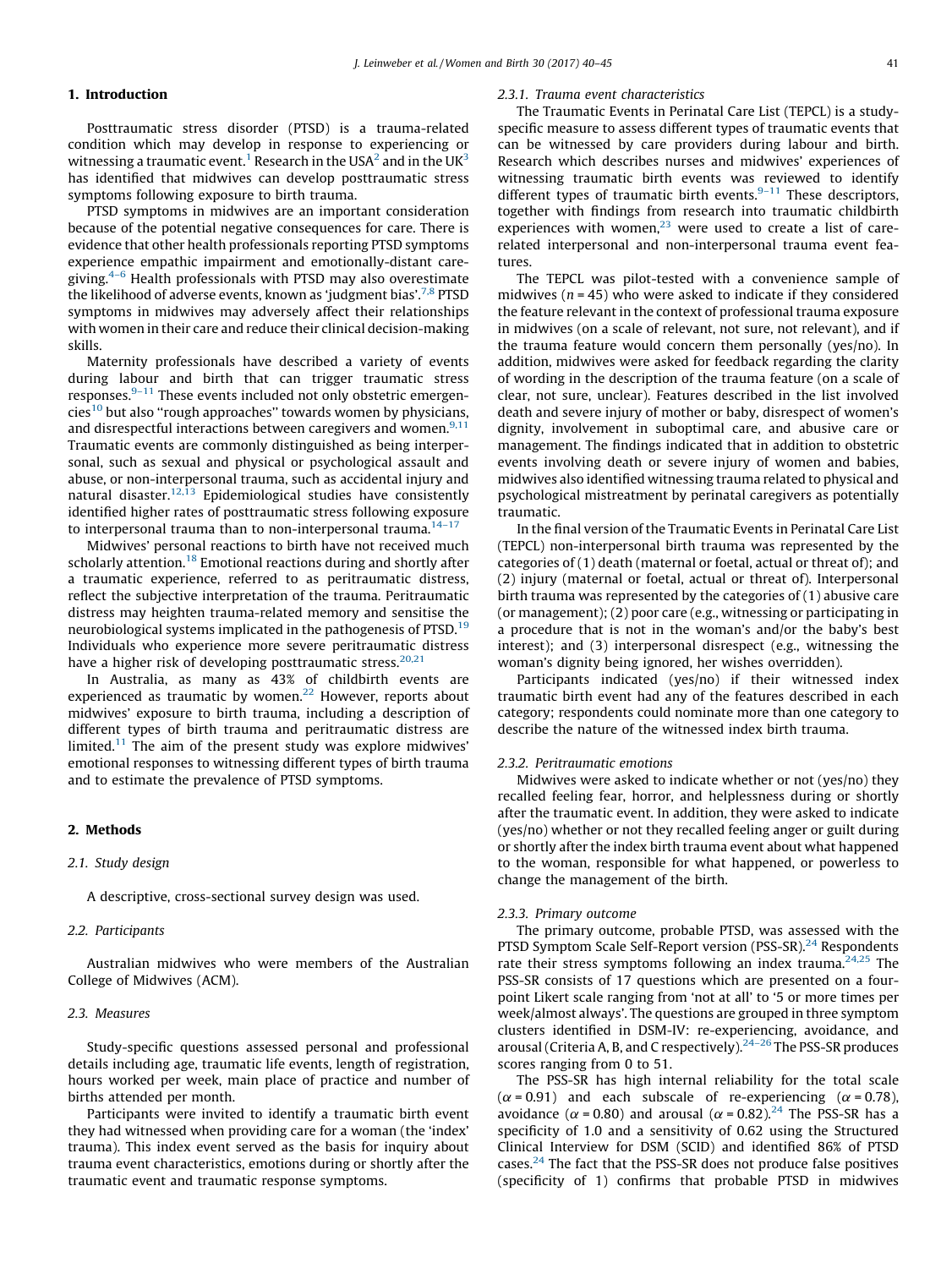# 1. Introduction

Posttraumatic stress disorder (PTSD) is a trauma-related condition which may develop in response to experiencing or witnessing a traumatic event.<sup>[1](#page-4-0)</sup> Research in the USA<sup>[2](#page-4-0)</sup> and in the UK<sup>[3](#page-4-0)</sup> has identified that midwives can develop posttraumatic stress symptoms following exposure to birth trauma.

PTSD symptoms in midwives are an important consideration because of the potential negative consequences for care. There is evidence that other health professionals reporting PTSD symptoms experience empathic impairment and emotionally-distant caregiving. $4-6$  Health professionals with PTSD may also overestimate the likelihood of adverse events, known as 'judgment bias'.<sup>[7,8](#page-4-0)</sup> PTSD symptoms in midwives may adversely affect their relationships with women in their care and reduce their clinical decision-making skills.

Maternity professionals have described a variety of events during labour and birth that can trigger traumatic stress responses.<sup>9-11</sup> These events included not only obstetric emergen- $cies<sup>10</sup>$  $cies<sup>10</sup>$  $cies<sup>10</sup>$  but also "rough approaches" towards women by physicians, and disrespectful interactions between caregivers and women. $9,11$ Traumatic events are commonly distinguished as being interpersonal, such as sexual and physical or psychological assault and abuse, or non-interpersonal trauma, such as accidental injury and natural disaster.<sup>[12,13](#page-4-0)</sup> Epidemiological studies have consistently identified higher rates of posttraumatic stress following exposure to interpersonal trauma than to non-interpersonal trauma. $14-17$ 

Midwives' personal reactions to birth have not received much scholarly attention.<sup>18</sup> Emotional reactions during and shortly after a traumatic experience, referred to as peritraumatic distress, reflect the subjective interpretation of the trauma. Peritraumatic distress may heighten trauma-related memory and sensitise the neurobiological systems implicated in the pathogenesis of PTSD.<sup>[19](#page-5-0)</sup> Individuals who experience more severe peritraumatic distress have a higher risk of developing posttraumatic stress.  $20,21$ 

In Australia, as many as 43% of childbirth events are experienced as traumatic by women.<sup>[22](#page-5-0)</sup> However, reports about midwives' exposure to birth trauma, including a description of different types of birth trauma and peritraumatic distress are limited[.11](#page-4-0) The aim of the present study was explore midwives' emotional responses to witnessing different types of birth trauma and to estimate the prevalence of PTSD symptoms.

#### 2. Methods

#### 2.1. Study design

A descriptive, cross-sectional survey design was used.

### 2.2. Participants

Australian midwives who were members of the Australian College of Midwives (ACM).

#### 2.3. Measures

Study-specific questions assessed personal and professional details including age, traumatic life events, length of registration, hours worked per week, main place of practice and number of births attended per month.

Participants were invited to identify a traumatic birth event they had witnessed when providing care for a woman (the 'index' trauma). This index event served as the basis for inquiry about trauma event characteristics, emotions during or shortly after the traumatic event and traumatic response symptoms.

# 2.3.1. Trauma event characteristics

The Traumatic Events in Perinatal Care List (TEPCL) is a studyspecific measure to assess different types of traumatic events that can be witnessed by care providers during labour and birth. Research which describes nurses and midwives' experiences of witnessing traumatic birth events was reviewed to identify different types of traumatic birth events. $9-11$  These descriptors, together with findings from research into traumatic childbirth experiences with women, $23$  were used to create a list of carerelated interpersonal and non-interpersonal trauma event features.

The TEPCL was pilot-tested with a convenience sample of midwives ( $n = 45$ ) who were asked to indicate if they considered the feature relevant in the context of professional trauma exposure in midwives (on a scale of relevant, not sure, not relevant), and if the trauma feature would concern them personally (yes/no). In addition, midwives were asked for feedback regarding the clarity of wording in the description of the trauma feature (on a scale of clear, not sure, unclear). Features described in the list involved death and severe injury of mother or baby, disrespect of women's dignity, involvement in suboptimal care, and abusive care or management. The findings indicated that in addition to obstetric events involving death or severe injury of women and babies, midwives also identified witnessing trauma related to physical and psychological mistreatment by perinatal caregivers as potentially traumatic.

In the final version of the Traumatic Events in Perinatal Care List (TEPCL) non-interpersonal birth trauma was represented by the categories of (1) death (maternal or foetal, actual or threat of); and (2) injury (maternal or foetal, actual or threat of). Interpersonal birth trauma was represented by the categories of (1) abusive care (or management); (2) poor care (e.g., witnessing or participating in a procedure that is not in the woman's and/or the baby's best interest); and (3) interpersonal disrespect (e.g., witnessing the woman's dignity being ignored, her wishes overridden).

Participants indicated (yes/no) if their witnessed index traumatic birth event had any of the features described in each category; respondents could nominate more than one category to describe the nature of the witnessed index birth trauma.

#### 2.3.2. Peritraumatic emotions

Midwives were asked to indicate whether or not (yes/no) they recalled feeling fear, horror, and helplessness during or shortly after the traumatic event. In addition, they were asked to indicate (yes/no) whether or not they recalled feeling anger or guilt during or shortly after the index birth trauma event about what happened to the woman, responsible for what happened, or powerless to change the management of the birth.

#### 2.3.3. Primary outcome

The primary outcome, probable PTSD, was assessed with the PTSD Symptom Scale Self-Report version (PSS-SR).<sup>[24](#page-5-0)</sup> Respondents rate their stress symptoms following an index trauma.<sup>[24,25](#page-5-0)</sup> The PSS-SR consists of 17 questions which are presented on a fourpoint Likert scale ranging from 'not at all' to '5 or more times per week/almost always'. The questions are grouped in three symptom clusters identified in DSM-IV: re-experiencing, avoidance, and arousal (Criteria A, B, and C respectively).<sup>24-26</sup> The PSS-SR produces scores ranging from 0 to 51.

The PSS-SR has high internal reliability for the total scale  $(\alpha = 0.91)$  and each subscale of re-experiencing  $(\alpha = 0.78)$ , avoidance ( $\alpha$  = 0.80) and arousal ( $\alpha$  = 0.82).<sup>[24](#page-5-0)</sup> The PSS-SR has a specificity of 1.0 and a sensitivity of 0.62 using the Structured Clinical Interview for DSM (SCID) and identified 86% of PTSD cases. $24$  The fact that the PSS-SR does not produce false positives (specificity of 1) confirms that probable PTSD in midwives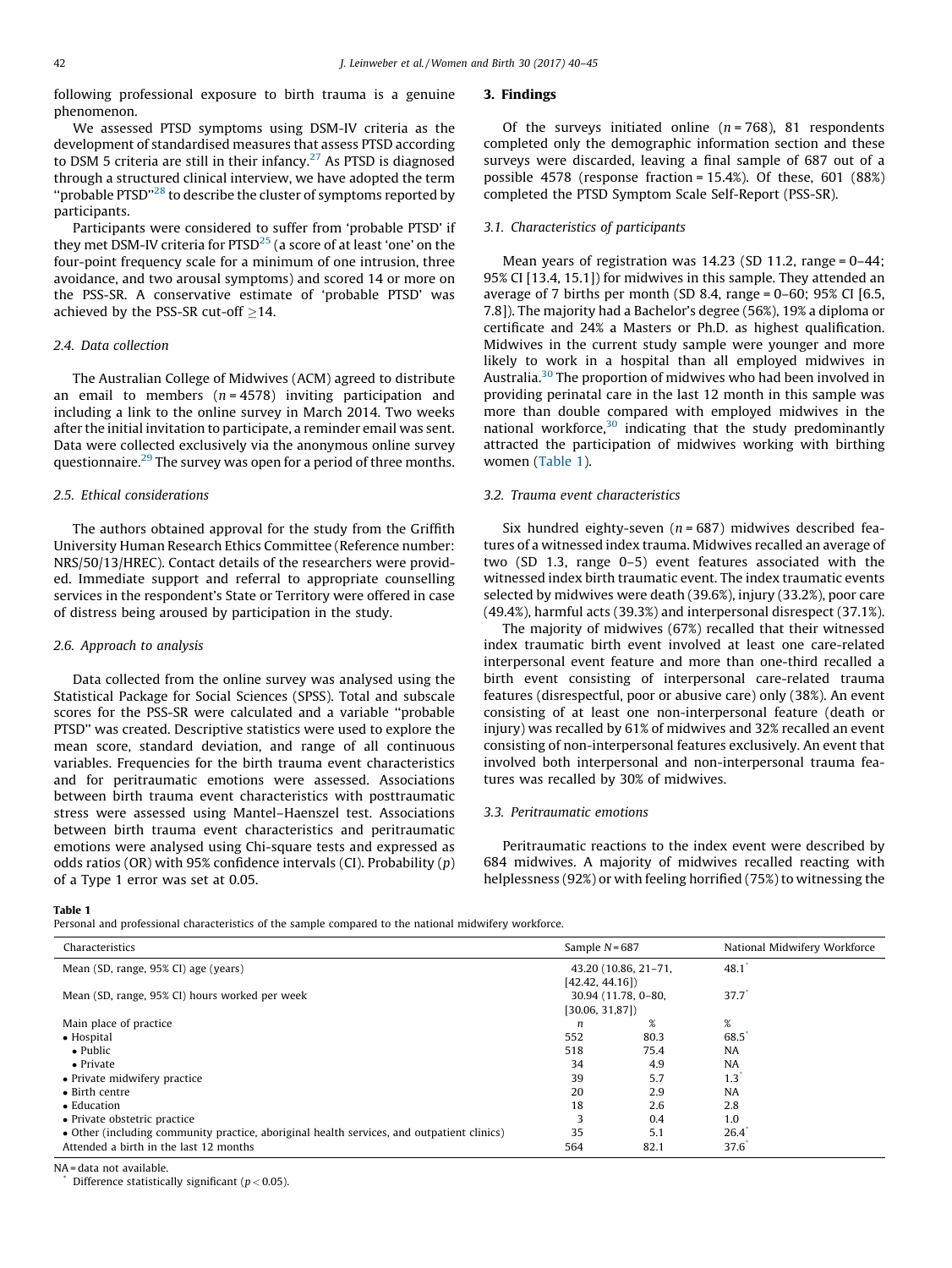following professional exposure to birth trauma is a genuine phenomenon.

We assessed PTSD symptoms using DSM-IV criteria as the development of standardised measures that assess PTSD according to DSM 5 criteria are still in their infancy. $27$  As PTSD is diagnosed through a structured clinical interview, we have adopted the term "probable PTSD"<sup>[28](#page-5-0)</sup> to describe the cluster of symptoms reported by participants.

Participants were considered to suffer from 'probable PTSD' if they met DSM-IV criteria for  $PTSD<sup>25</sup>$  $PTSD<sup>25</sup>$  $PTSD<sup>25</sup>$  (a score of at least 'one' on the four-point frequency scale for a minimum of one intrusion, three avoidance, and two arousal symptoms) and scored 14 or more on the PSS-SR. A conservative estimate of 'probable PTSD' was achieved by the PSS-SR cut-off  $\geq$ 14.

#### 2.4. Data collection

The Australian College of Midwives (ACM) agreed to distribute an email to members  $(n = 4578)$  inviting participation and including a link to the online survey in March 2014. Two weeks after the initial invitation to participate, a reminder email was sent. Data were collected exclusively via the anonymous online survey questionnaire[.29](#page-5-0) The survey was open for a period of three months.

#### 2.5. Ethical considerations

The authors obtained approval for the study from the Griffith University Human Research Ethics Committee (Reference number: NRS/50/13/HREC). Contact details of the researchers were provided. Immediate support and referral to appropriate counselling services in the respondent's State or Territory were offered in case of distress being aroused by participation in the study.

## 2.6. Approach to analysis

Data collected from the online survey was analysed using the Statistical Package for Social Sciences (SPSS). Total and subscale scores for the PSS-SR were calculated and a variable ''probable PTSD'' was created. Descriptive statistics were used to explore the mean score, standard deviation, and range of all continuous variables. Frequencies for the birth trauma event characteristics and for peritraumatic emotions were assessed. Associations between birth trauma event characteristics with posttraumatic stress were assessed using Mantel–Haenszel test. Associations between birth trauma event characteristics and peritraumatic emotions were analysed using Chi-square tests and expressed as odds ratios (OR) with 95% confidence intervals (CI). Probability  $(p)$ of a Type 1 error was set at 0.05.

#### 3. Findings

Of the surveys initiated online  $(n = 768)$ , 81 respondents completed only the demographic information section and these surveys were discarded, leaving a final sample of 687 out of a possible 4578 (response fraction = 15.4%). Of these, 601 (88%) completed the PTSD Symptom Scale Self-Report (PSS-SR).

#### 3.1. Characteristics of participants

Mean years of registration was 14.23 (SD 11.2, range = 0–44; 95% CI [13.4, 15.1]) for midwives in this sample. They attended an average of 7 births per month (SD 8.4, range =  $0-60$ ; 95% CI [6.5, 7.8]). The majority had a Bachelor's degree (56%), 19% a diploma or certificate and 24% a Masters or Ph.D. as highest qualification. Midwives in the current study sample were younger and more likely to work in a hospital than all employed midwives in Australia.[30](#page-5-0) The proportion of midwives who had been involved in providing perinatal care in the last 12 month in this sample was more than double compared with employed midwives in the national workforce, $30$  indicating that the study predominantly attracted the participation of midwives working with birthing women (Table 1).

#### 3.2. Trauma event characteristics

Six hundred eighty-seven ( $n = 687$ ) midwives described features of a witnessed index trauma. Midwives recalled an average of two (SD 1.3, range 0–5) event features associated with the witnessed index birth traumatic event. The index traumatic events selected by midwives were death (39.6%), injury (33.2%), poor care (49.4%), harmful acts (39.3%) and interpersonal disrespect (37.1%).

The majority of midwives (67%) recalled that their witnessed index traumatic birth event involved at least one care-related interpersonal event feature and more than one-third recalled a birth event consisting of interpersonal care-related trauma features (disrespectful, poor or abusive care) only (38%). An event consisting of at least one non-interpersonal feature (death or injury) was recalled by 61% of midwives and 32% recalled an event consisting of non-interpersonal features exclusively. An event that involved both interpersonal and non-interpersonal trauma features was recalled by 30% of midwives.

# 3.3. Peritraumatic emotions

Peritraumatic reactions to the index event were described by 684 midwives. A majority of midwives recalled reacting with helplessness (92%) or with feeling horrified (75%) to witnessing the

#### Table 1

Personal and professional characteristics of the sample compared to the national midwifery workforce.

| Characteristics                                                                            | Sample $N = 687$                      |      | National Midwifery Workforce |
|--------------------------------------------------------------------------------------------|---------------------------------------|------|------------------------------|
| Mean (SD, range, 95% CI) age (years)                                                       | 43.20 (10.86, 21-71,                  |      | 48.1                         |
| Mean (SD, range, 95% CI) hours worked per week                                             | [42.42, 44.16]<br>30.94 (11.78, 0-80, |      | 37.7                         |
|                                                                                            | [30.06, 31, 87]                       |      |                              |
| Main place of practice                                                                     | n                                     | %    | %                            |
| • Hospital                                                                                 | 552                                   | 80.3 | 68.5                         |
| $\bullet$ Public                                                                           | 518                                   | 75.4 | <b>NA</b>                    |
| $\bullet$ Private                                                                          | 34                                    | 4.9  | <b>NA</b>                    |
| • Private midwifery practice                                                               | 39                                    | 5.7  | 1.3                          |
| • Birth centre                                                                             | 20                                    | 2.9  | <b>NA</b>                    |
| $\bullet$ Education                                                                        | 18                                    | 2.6  | 2.8                          |
| • Private obstetric practice                                                               |                                       | 0.4  | 1.0                          |
| • Other (including community practice, aboriginal health services, and outpatient clinics) | 35                                    | 5.1  | 26.4                         |
| Attended a birth in the last 12 months                                                     | 564                                   | 82.1 | 37.6                         |

NA = data not available.

Difference statistically significant ( $p < 0.05$ ).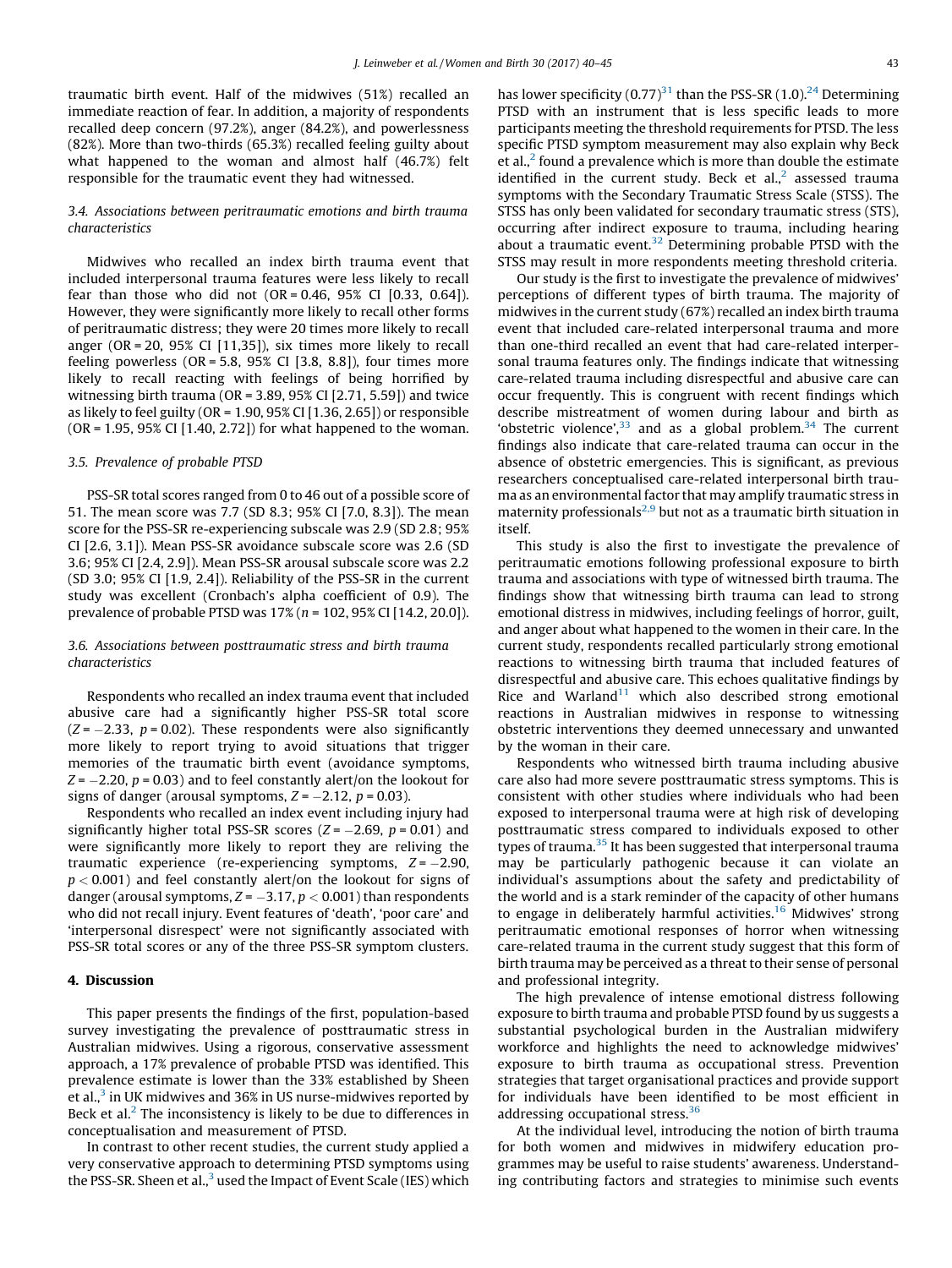traumatic birth event. Half of the midwives (51%) recalled an immediate reaction of fear. In addition, a majority of respondents recalled deep concern (97.2%), anger (84.2%), and powerlessness (82%). More than two-thirds (65.3%) recalled feeling guilty about what happened to the woman and almost half (46.7%) felt responsible for the traumatic event they had witnessed.

# 3.4. Associations between peritraumatic emotions and birth trauma characteristics

Midwives who recalled an index birth trauma event that included interpersonal trauma features were less likely to recall fear than those who did not  $(OR = 0.46, 95\% \text{ CI} [0.33, 0.64])$ . However, they were significantly more likely to recall other forms of peritraumatic distress; they were 20 times more likely to recall anger (OR = 20, 95% CI [11,35]), six times more likely to recall feeling powerless (OR = 5.8, 95% CI [3.8, 8.8]), four times more likely to recall reacting with feelings of being horrified by witnessing birth trauma (OR =  $3.89$ ,  $95\%$  CI [2.71,  $5.59$ ]) and twice as likely to feel guilty (OR = 1.90, 95% CI [1.36, 2.65]) or responsible  $(OR = 1.95, 95\% CI [1.40, 2.72])$  for what happened to the woman.

# 3.5. Prevalence of probable PTSD

PSS-SR total scores ranged from 0 to 46 out of a possible score of 51. The mean score was 7.7 (SD 8.3; 95% CI [7.0, 8.3]). The mean score for the PSS-SR re-experiencing subscale was 2.9 (SD 2.8; 95% CI [2.6, 3.1]). Mean PSS-SR avoidance subscale score was 2.6 (SD 3.6; 95% CI [2.4, 2.9]). Mean PSS-SR arousal subscale score was 2.2 (SD 3.0; 95% CI  $[1.9, 2.4]$ ). Reliability of the PSS-SR in the current study was excellent (Cronbach's alpha coefficient of 0.9). The prevalence of probable PTSD was 17% (n = 102, 95% CI [14.2, 20.0]).

# 3.6. Associations between posttraumatic stress and birth trauma characteristics

Respondents who recalled an index trauma event that included abusive care had a significantly higher PSS-SR total score  $(Z = -2.33, p = 0.02)$ . These respondents were also significantly more likely to report trying to avoid situations that trigger memories of the traumatic birth event (avoidance symptoms,  $Z = -2.20$ ,  $p = 0.03$ ) and to feel constantly alert/on the lookout for signs of danger (arousal symptoms,  $Z = -2.12$ ,  $p = 0.03$ ).

Respondents who recalled an index event including injury had significantly higher total PSS-SR scores ( $Z = -2.69$ ,  $p = 0.01$ ) and were significantly more likely to report they are reliving the traumatic experience (re-experiencing symptoms,  $Z = -2.90$ ,  $p < 0.001$ ) and feel constantly alert/on the lookout for signs of danger (arousal symptoms,  $Z = -3.17$ ,  $p < 0.001$ ) than respondents who did not recall injury. Event features of 'death', 'poor care' and 'interpersonal disrespect' were not significantly associated with PSS-SR total scores or any of the three PSS-SR symptom clusters.

# 4. Discussion

This paper presents the findings of the first, population-based survey investigating the prevalence of posttraumatic stress in Australian midwives. Using a rigorous, conservative assessment approach, a 17% prevalence of probable PTSD was identified. This prevalence estimate is lower than the 33% established by Sheen et al., $3$  in UK midwives and 36% in US nurse-midwives reported by Beck et al. $<sup>2</sup>$  $<sup>2</sup>$  $<sup>2</sup>$  The inconsistency is likely to be due to differences in</sup> conceptualisation and measurement of PTSD.

In contrast to other recent studies, the current study applied a very conservative approach to determining PTSD symptoms using the PSS-SR. Sheen et al., $3$  used the Impact of Event Scale (IES) which has lower specificity  $(0.77)^{31}$  $(0.77)^{31}$  $(0.77)^{31}$  than the PSS-SR  $(1.0)^{24}$  Determining PTSD with an instrument that is less specific leads to more participants meeting the threshold requirements for PTSD. The less specific PTSD symptom measurement may also explain why Beck et al.,<sup>[2](#page-4-0)</sup> found a prevalence which is more than double the estimate identified in the current study. Beck et al.,<sup>[2](#page-4-0)</sup> assessed trauma symptoms with the Secondary Traumatic Stress Scale (STSS). The STSS has only been validated for secondary traumatic stress (STS), occurring after indirect exposure to trauma, including hearing about a traumatic event.[32](#page-5-0) Determining probable PTSD with the STSS may result in more respondents meeting threshold criteria.

Our study is the first to investigate the prevalence of midwives' perceptions of different types of birth trauma. The majority of midwives in the current study (67%) recalled an index birth trauma event that included care-related interpersonal trauma and more than one-third recalled an event that had care-related interpersonal trauma features only. The findings indicate that witnessing care-related trauma including disrespectful and abusive care can occur frequently. This is congruent with recent findings which describe mistreatment of women during labour and birth as 'obstetric violence', $33$  and as a global problem. $34$  The current findings also indicate that care-related trauma can occur in the absence of obstetric emergencies. This is significant, as previous researchers conceptualised care-related interpersonal birth trauma as an environmental factor that may amplify traumatic stress in maternity professionals<sup>[2,9](#page-4-0)</sup> but not as a traumatic birth situation in itself.

This study is also the first to investigate the prevalence of peritraumatic emotions following professional exposure to birth trauma and associations with type of witnessed birth trauma. The findings show that witnessing birth trauma can lead to strong emotional distress in midwives, including feelings of horror, guilt, and anger about what happened to the women in their care. In the current study, respondents recalled particularly strong emotional reactions to witnessing birth trauma that included features of disrespectful and abusive care. This echoes qualitative findings by Rice and Warland<sup>[11](#page-4-0)</sup> which also described strong emotional reactions in Australian midwives in response to witnessing obstetric interventions they deemed unnecessary and unwanted by the woman in their care.

Respondents who witnessed birth trauma including abusive care also had more severe posttraumatic stress symptoms. This is consistent with other studies where individuals who had been exposed to interpersonal trauma were at high risk of developing posttraumatic stress compared to individuals exposed to other types of trauma.<sup>[35](#page-5-0)</sup> It has been suggested that interpersonal trauma may be particularly pathogenic because it can violate an individual's assumptions about the safety and predictability of the world and is a stark reminder of the capacity of other humans to engage in deliberately harmful activities.<sup>[16](#page-5-0)</sup> Midwives' strong peritraumatic emotional responses of horror when witnessing care-related trauma in the current study suggest that this form of birth trauma may be perceived as a threat to their sense of personal and professional integrity.

The high prevalence of intense emotional distress following exposure to birth trauma and probable PTSD found by us suggests a substantial psychological burden in the Australian midwifery workforce and highlights the need to acknowledge midwives' exposure to birth trauma as occupational stress. Prevention strategies that target organisational practices and provide support for individuals have been identified to be most efficient in addressing occupational stress.<sup>[36](#page-5-0)</sup>

At the individual level, introducing the notion of birth trauma for both women and midwives in midwifery education programmes may be useful to raise students' awareness. Understanding contributing factors and strategies to minimise such events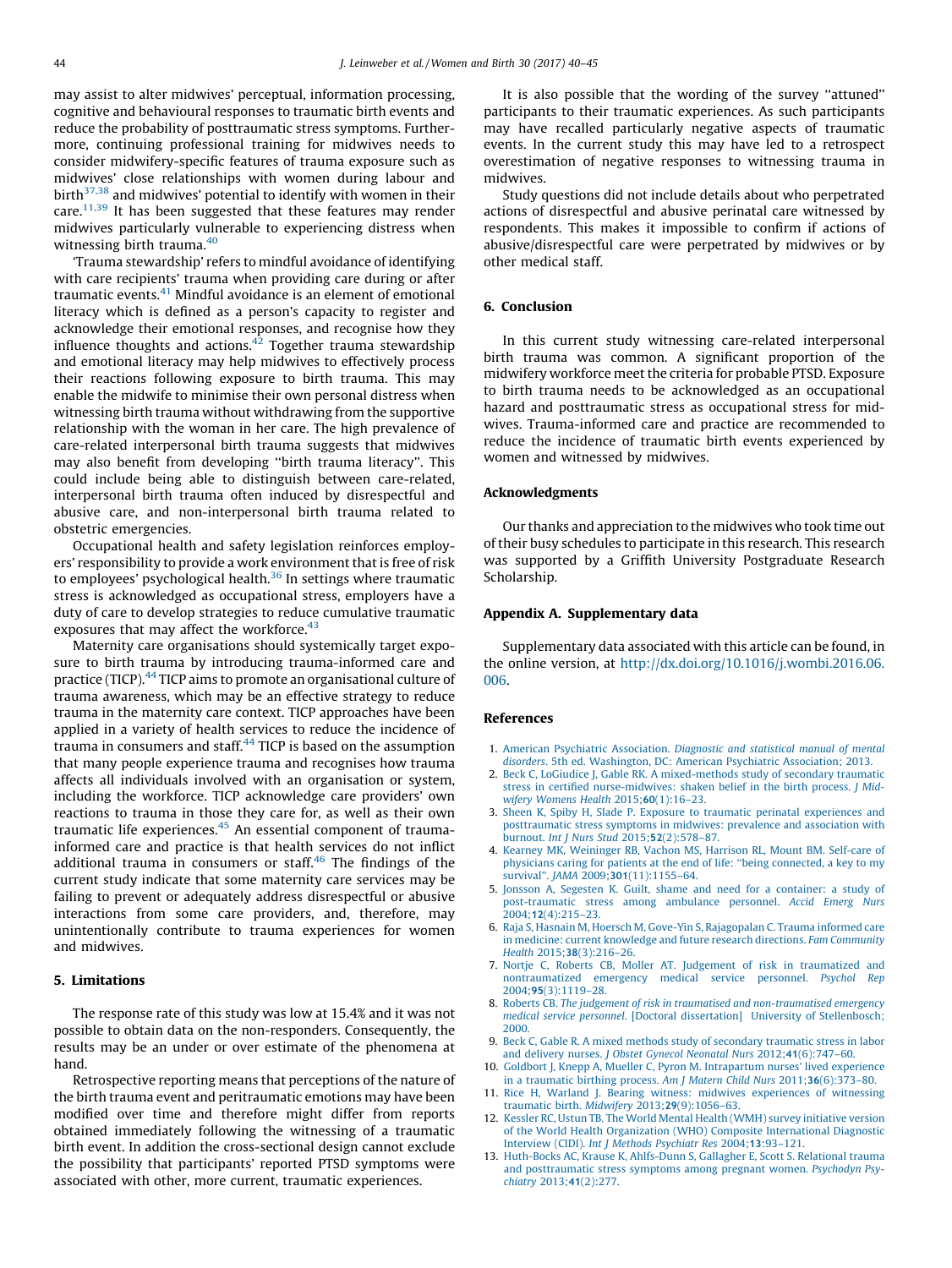<span id="page-4-0"></span>may assist to alter midwives' perceptual, information processing, cognitive and behavioural responses to traumatic birth events and reduce the probability of posttraumatic stress symptoms. Furthermore, continuing professional training for midwives needs to consider midwifery-specific features of trauma exposure such as midwives' close relationships with women during labour and  $birth<sup>37,38</sup>$  $birth<sup>37,38</sup>$  $birth<sup>37,38</sup>$  and midwives' potential to identify with women in their care.11,39 It has been suggested that these features may render midwives particularly vulnerable to experiencing distress when witnessing birth trauma.<sup>[40](#page-5-0)</sup>

'Trauma stewardship' refers to mindful avoidance of identifying with care recipients' trauma when providing care during or after traumatic events.[41](#page-5-0) Mindful avoidance is an element of emotional literacy which is defined as a person's capacity to register and acknowledge their emotional responses, and recognise how they influence thoughts and actions. $42$  Together trauma stewardship and emotional literacy may help midwives to effectively process their reactions following exposure to birth trauma. This may enable the midwife to minimise their own personal distress when witnessing birth trauma without withdrawing from the supportive relationship with the woman in her care. The high prevalence of care-related interpersonal birth trauma suggests that midwives may also benefit from developing ''birth trauma literacy''. This could include being able to distinguish between care-related, interpersonal birth trauma often induced by disrespectful and abusive care, and non-interpersonal birth trauma related to obstetric emergencies.

Occupational health and safety legislation reinforces employers' responsibility to provide a work environment that is free of risk to employees' psychological health. $36$  In settings where traumatic stress is acknowledged as occupational stress, employers have a duty of care to develop strategies to reduce cumulative traumatic exposures that may affect the workforce. $43$ 

Maternity care organisations should systemically target exposure to birth trauma by introducing trauma-informed care and practice (TICP).<sup>[44](#page-5-0)</sup> TICP aims to promote an organisational culture of trauma awareness, which may be an effective strategy to reduce trauma in the maternity care context. TICP approaches have been applied in a variety of health services to reduce the incidence of trauma in consumers and staff.[44](#page-5-0) TICP is based on the assumption that many people experience trauma and recognises how trauma affects all individuals involved with an organisation or system, including the workforce. TICP acknowledge care providers' own reactions to trauma in those they care for, as well as their own traumatic life experiences[.45](#page-5-0) An essential component of traumainformed care and practice is that health services do not inflict additional trauma in consumers or staff.<sup>46</sup> The findings of the current study indicate that some maternity care services may be failing to prevent or adequately address disrespectful or abusive interactions from some care providers, and, therefore, may unintentionally contribute to trauma experiences for women and midwives.

# 5. Limitations

The response rate of this study was low at 15.4% and it was not possible to obtain data on the non-responders. Consequently, the results may be an under or over estimate of the phenomena at hand.

Retrospective reporting means that perceptions of the nature of the birth trauma event and peritraumatic emotions may have been modified over time and therefore might differ from reports obtained immediately following the witnessing of a traumatic birth event. In addition the cross-sectional design cannot exclude the possibility that participants' reported PTSD symptoms were associated with other, more current, traumatic experiences.

It is also possible that the wording of the survey ''attuned'' participants to their traumatic experiences. As such participants may have recalled particularly negative aspects of traumatic events. In the current study this may have led to a retrospect overestimation of negative responses to witnessing trauma in midwives.

Study questions did not include details about who perpetrated actions of disrespectful and abusive perinatal care witnessed by respondents. This makes it impossible to confirm if actions of abusive/disrespectful care were perpetrated by midwives or by other medical staff.

#### 6. Conclusion

In this current study witnessing care-related interpersonal birth trauma was common. A significant proportion of the midwifery workforce meet the criteria for probable PTSD. Exposure to birth trauma needs to be acknowledged as an occupational hazard and posttraumatic stress as occupational stress for midwives. Trauma-informed care and practice are recommended to reduce the incidence of traumatic birth events experienced by women and witnessed by midwives.

#### Acknowledgments

Our thanks and appreciation to the midwives who took time out of their busy schedules to participate in this research. This research was supported by a Griffith University Postgraduate Research Scholarship.

#### Appendix A. Supplementary data

Supplementary data associated with this article can be found, in the online version, at [http://dx.doi.org/10.1016/j.wombi.2016.06.](http://dx.doi.org/10.1016/j.wombi.2016.06.006) [006](http://dx.doi.org/10.1016/j.wombi.2016.06.006).

#### References

- 1. American Psychiatric Association. [Diagnostic and statistical manual of mental](http://refhub.elsevier.com/S1871-5192(16)30066-X/sbref0235) disorders[. 5th ed. Washington, DC: American Psychiatric Association; 2013.](http://refhub.elsevier.com/S1871-5192(16)30066-X/sbref0235)
- 2. [Beck C, LoGiudice J, Gable RK. A mixed-methods study of secondary traumatic](http://refhub.elsevier.com/S1871-5192(16)30066-X/sbref0240) [stress in certified nurse-midwives: shaken belief in the birth process.](http://refhub.elsevier.com/S1871-5192(16)30066-X/sbref0240) J Mid[wifery Womens Health](http://refhub.elsevier.com/S1871-5192(16)30066-X/sbref0240) 2015;60(1):16–23.
- 3. [Sheen K, Spiby H, Slade P. Exposure to traumatic perinatal experiences and](http://refhub.elsevier.com/S1871-5192(16)30066-X/sbref0245) [posttraumatic stress symptoms in midwives: prevalence and association with](http://refhub.elsevier.com/S1871-5192(16)30066-X/sbref0245) burnout. [Int J Nurs Stud](http://refhub.elsevier.com/S1871-5192(16)30066-X/sbref0245) 2015;52(2):578–87.
- 4. [Kearney MK, Weininger RB, Vachon MS, Harrison RL, Mount BM. Self-care of](http://refhub.elsevier.com/S1871-5192(16)30066-X/sbref0250) [physicians caring for patients at the end of life: ''being connected, a key to my](http://refhub.elsevier.com/S1871-5192(16)30066-X/sbref0250) survival''. JAMA 2009;301[\(11\):1155–64.](http://refhub.elsevier.com/S1871-5192(16)30066-X/sbref0250)
- 5. [Jonsson A, Segesten K. Guilt, shame and need for a container: a study of](http://refhub.elsevier.com/S1871-5192(16)30066-X/sbref0255) [post-traumatic stress among ambulance personnel.](http://refhub.elsevier.com/S1871-5192(16)30066-X/sbref0255) Accid Emerg Nurs  $2004 \cdot 12(4) \cdot 215 - 23$
- 6. [Raja S, Hasnain M, Hoersch M, Gove-Yin S, Rajagopalan C. Trauma informed care](http://refhub.elsevier.com/S1871-5192(16)30066-X/sbref0260) [in medicine: current knowledge and future research directions.](http://refhub.elsevier.com/S1871-5192(16)30066-X/sbref0260) Fam Community Health 2015;38[\(3\):216–26.](http://refhub.elsevier.com/S1871-5192(16)30066-X/sbref0260)
- 7. [Nortje C, Roberts CB, Moller AT. Judgement of risk in traumatized and](http://refhub.elsevier.com/S1871-5192(16)30066-X/sbref0265) [nontraumatized emergency medical service personnel.](http://refhub.elsevier.com/S1871-5192(16)30066-X/sbref0265) Psychol Rep 2004;95[\(3\):1119–28.](http://refhub.elsevier.com/S1871-5192(16)30066-X/sbref0265)
- 8. Roberts CB. [The judgement of risk in traumatised and non-traumatised emergency](http://refhub.elsevier.com/S1871-5192(16)30066-X/sbref0270) medical service personnel[. \[Doctoral dissertation\] University of Stellenbosch;](http://refhub.elsevier.com/S1871-5192(16)30066-X/sbref0270) [2000.](http://refhub.elsevier.com/S1871-5192(16)30066-X/sbref0270)
- 9. [Beck C, Gable R. A mixed methods study of secondary traumatic stress in labor](http://refhub.elsevier.com/S1871-5192(16)30066-X/sbref0275) and delivery nurses. [J Obstet Gynecol Neonatal Nurs](http://refhub.elsevier.com/S1871-5192(16)30066-X/sbref0275) 2012;41(6):747–60.
- 10. [Goldbort J, Knepp A, Mueller C, Pyron M. Intrapartum nurses' lived experience](http://refhub.elsevier.com/S1871-5192(16)30066-X/sbref0280) [in a traumatic birthing process.](http://refhub.elsevier.com/S1871-5192(16)30066-X/sbref0280) Am J Matern Child Nurs 2011;36(6):373–80.
- 11. [Rice H, Warland J. Bearing witness: midwives experiences of witnessing](http://refhub.elsevier.com/S1871-5192(16)30066-X/sbref0285) [traumatic birth.](http://refhub.elsevier.com/S1871-5192(16)30066-X/sbref0285) Midwifery 2013;29(9):1056–63.
- 12. [Kessler RC, Ustun TB. The World Mental Health \(WMH\) survey initiative version](http://refhub.elsevier.com/S1871-5192(16)30066-X/sbref0290) [of the World Health Organization \(WHO\) Composite International Diagnostic](http://refhub.elsevier.com/S1871-5192(16)30066-X/sbref0290) Interview (CIDI). [Int J Methods Psychiatr Res](http://refhub.elsevier.com/S1871-5192(16)30066-X/sbref0290) 2004;13:93–121.
- 13. [Huth-Bocks AC, Krause K, Ahlfs-Dunn S, Gallagher E, Scott S. Relational trauma](http://refhub.elsevier.com/S1871-5192(16)30066-X/sbref0295) [and posttraumatic stress symptoms among pregnant women.](http://refhub.elsevier.com/S1871-5192(16)30066-X/sbref0295) Psychodyn Psychiatry 2013;41[\(2\):277.](http://refhub.elsevier.com/S1871-5192(16)30066-X/sbref0295)